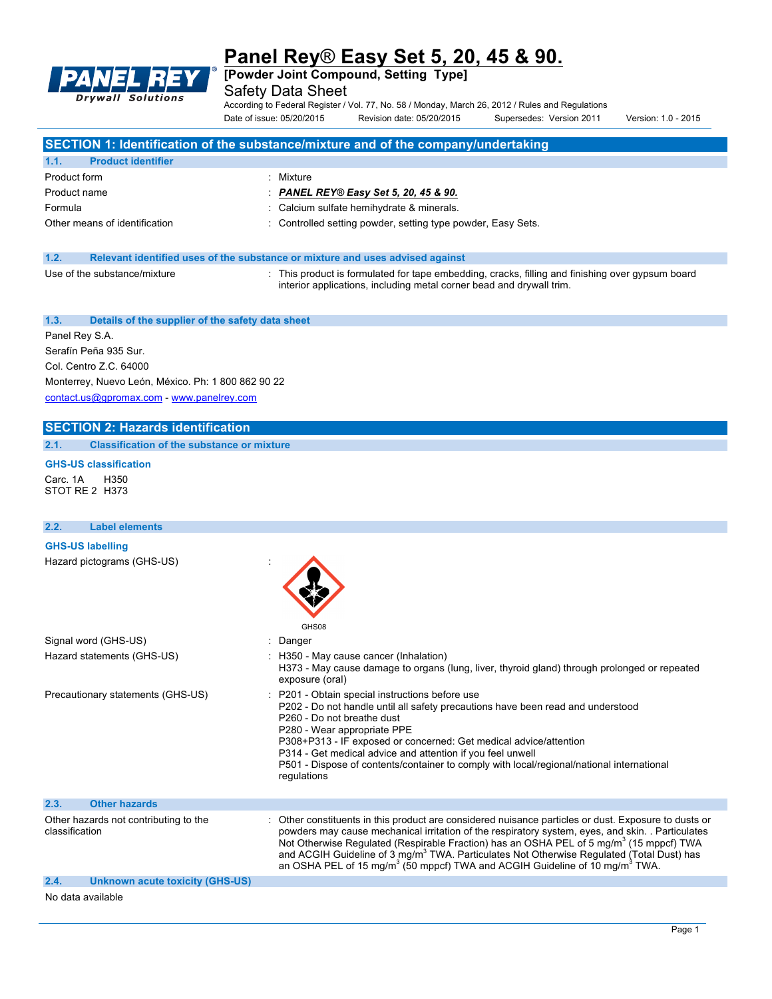

**[Powder Joint Compound, Setting Type]**

Safety Data Sheet

According to Federal Register / Vol. 77, No. 58 / Monday, March 26, 2012 / Rules and Regulations Date of issue: 05/20/2015 Revision date: 05/20/2015 Supersedes: Version 2011 Version: 1.0 - 2015

# **SECTION 1: Identification of the substance/mixture and of the company/undertaking**

| 1.1.<br><b>Product identifier</b> |                                                              |
|-----------------------------------|--------------------------------------------------------------|
| Product form                      | Mixture                                                      |
| Product name                      | : PANEL REY® Easy Set 5, 20, 45 & 90.                        |
| Formula                           | : Calcium sulfate hemihydrate & minerals.                    |
| Other means of identification     | : Controlled setting powder, setting type powder, Easy Sets. |

### **1.2. Relevant identified uses of the substance or mixture and uses advised against**

| Use of the substance/mixture |
|------------------------------|
|                              |

: This product is formulated for tape embedding, cracks, filling and finishing over gypsum board interior applications, including metal corner bead and drywall trim.

#### **1.3. Details of the supplier of the safety data sheet**

Panel Rey S.A. Serafín Peña 935 Sur. Col. Centro Z.C. 64000

Monterrey, Nuevo León, México. Ph: 1 800 862 90 22 contact.us@gpromax.com - www.panelrey.com

# **SECTION 2: Hazards identification**

**2.1. Classification of the substance or mixture**

### **GHS-US classification**

Carc. 1A H350 STOT RE 2 H373

#### **2.2. Label elements**

#### **GHS-US labelling**

Hazard pictograms (GHS-US) :

|                                                                                                                                                                                                                                  | v                                                                                                                                                                                                                                                                                                                                                                                                                                                                                                                                |
|----------------------------------------------------------------------------------------------------------------------------------------------------------------------------------------------------------------------------------|----------------------------------------------------------------------------------------------------------------------------------------------------------------------------------------------------------------------------------------------------------------------------------------------------------------------------------------------------------------------------------------------------------------------------------------------------------------------------------------------------------------------------------|
|                                                                                                                                                                                                                                  | GHS08                                                                                                                                                                                                                                                                                                                                                                                                                                                                                                                            |
| Signal word (GHS-US)                                                                                                                                                                                                             | : Danger                                                                                                                                                                                                                                                                                                                                                                                                                                                                                                                         |
| Hazard statements (GHS-US)                                                                                                                                                                                                       | : H350 - May cause cancer (Inhalation)<br>H373 - May cause damage to organs (lung, liver, thyroid gland) through prolonged or repeated<br>exposure (oral)                                                                                                                                                                                                                                                                                                                                                                        |
| Precautionary statements (GHS-US)                                                                                                                                                                                                | : P201 - Obtain special instructions before use<br>P202 - Do not handle until all safety precautions have been read and understood<br>P260 - Do not breathe dust<br>P280 - Wear appropriate PPE<br>P308+P313 - IF exposed or concerned: Get medical advice/attention<br>P314 - Get medical advice and attention if you feel unwell<br>P501 - Dispose of contents/container to comply with local/regional/national international<br>regulations                                                                                   |
| 2.3.<br><b>Other hazards</b>                                                                                                                                                                                                     |                                                                                                                                                                                                                                                                                                                                                                                                                                                                                                                                  |
| Other hazards not contributing to the<br>classification                                                                                                                                                                          | : Other constituents in this product are considered nuisance particles or dust. Exposure to dusts or<br>powders may cause mechanical irritation of the respiratory system, eyes, and skin. . Particulates<br>Not Otherwise Regulated (Respirable Fraction) has an OSHA PEL of 5 mg/m <sup>3</sup> (15 mppcf) TWA<br>and ACGIH Guideline of 3 mg/m <sup>3</sup> TWA. Particulates Not Otherwise Regulated (Total Dust) has<br>an OSHA PEL of 15 mg/m <sup>3</sup> (50 mppcf) TWA and ACGIH Guideline of 10 mg/m <sup>3</sup> TWA. |
| 2.4.<br>Unknown acute toxicity (GHS-US)                                                                                                                                                                                          |                                                                                                                                                                                                                                                                                                                                                                                                                                                                                                                                  |
| $\mathbf{r}$ , and the set of the set of the set of the set of the set of the set of the set of the set of the set of the set of the set of the set of the set of the set of the set of the set of the set of the set of the set |                                                                                                                                                                                                                                                                                                                                                                                                                                                                                                                                  |

No data available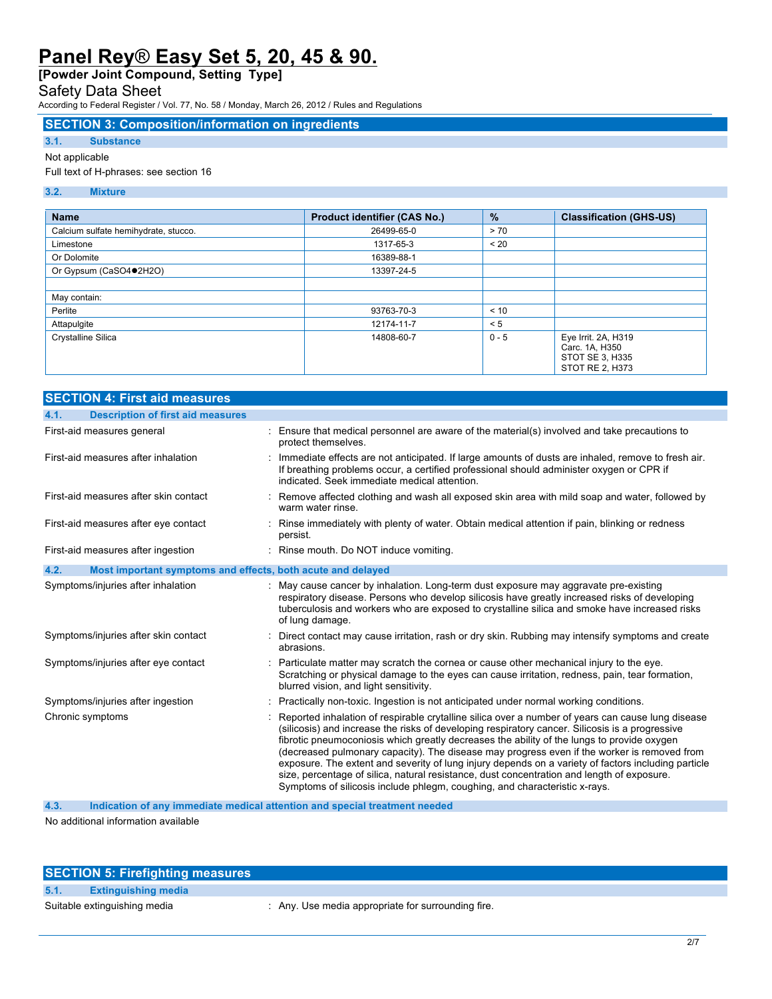**[Powder Joint Compound, Setting Type]**

# Safety Data Sheet

According to Federal Register / Vol. 77, No. 58 / Monday, March 26, 2012 / Rules and Regulations

# **SECTION 3: Composition/information on ingredients**

# **3.1. Substance**

# Not applicable

Full text of H-phrases: see section 16

### **3.2. Mixture**

| <b>Name</b>                          | Product identifier (CAS No.) | $\frac{9}{6}$ | <b>Classification (GHS-US)</b>                                              |
|--------------------------------------|------------------------------|---------------|-----------------------------------------------------------------------------|
| Calcium sulfate hemihydrate, stucco. | 26499-65-0                   | > 70          |                                                                             |
| Limestone                            | 1317-65-3                    | < 20          |                                                                             |
| Or Dolomite                          | 16389-88-1                   |               |                                                                             |
| Or Gypsum (CaSO4●2H2O)               | 13397-24-5                   |               |                                                                             |
|                                      |                              |               |                                                                             |
| May contain:                         |                              |               |                                                                             |
| Perlite                              | 93763-70-3                   | < 10          |                                                                             |
| Attapulgite                          | 12174-11-7                   | < 5           |                                                                             |
| Crystalline Silica                   | 14808-60-7                   | $0 - 5$       | Eye Irrit. 2A, H319<br>Carc. 1A, H350<br>STOT SE 3, H335<br>STOT RE 2, H373 |

| <b>SECTION 4: First aid measures</b>                                |                                                                                                                                                                                                                                                                                                                                                                                                                                                                                                                                                                                                                                                                                      |
|---------------------------------------------------------------------|--------------------------------------------------------------------------------------------------------------------------------------------------------------------------------------------------------------------------------------------------------------------------------------------------------------------------------------------------------------------------------------------------------------------------------------------------------------------------------------------------------------------------------------------------------------------------------------------------------------------------------------------------------------------------------------|
| 4.1.<br><b>Description of first aid measures</b>                    |                                                                                                                                                                                                                                                                                                                                                                                                                                                                                                                                                                                                                                                                                      |
| First-aid measures general                                          | : Ensure that medical personnel are aware of the material(s) involved and take precautions to<br>protect themselves.                                                                                                                                                                                                                                                                                                                                                                                                                                                                                                                                                                 |
| First-aid measures after inhalation                                 | Immediate effects are not anticipated. If large amounts of dusts are inhaled, remove to fresh air.<br>If breathing problems occur, a certified professional should administer oxygen or CPR if<br>indicated. Seek immediate medical attention.                                                                                                                                                                                                                                                                                                                                                                                                                                       |
| First-aid measures after skin contact                               | : Remove affected clothing and wash all exposed skin area with mild soap and water, followed by<br>warm water rinse.                                                                                                                                                                                                                                                                                                                                                                                                                                                                                                                                                                 |
| First-aid measures after eye contact                                | : Rinse immediately with plenty of water. Obtain medical attention if pain, blinking or redness<br>persist.                                                                                                                                                                                                                                                                                                                                                                                                                                                                                                                                                                          |
| First-aid measures after ingestion                                  | : Rinse mouth. Do NOT induce vomiting.                                                                                                                                                                                                                                                                                                                                                                                                                                                                                                                                                                                                                                               |
| 4.2.<br>Most important symptoms and effects, both acute and delayed |                                                                                                                                                                                                                                                                                                                                                                                                                                                                                                                                                                                                                                                                                      |
| Symptoms/injuries after inhalation                                  | : May cause cancer by inhalation. Long-term dust exposure may aggravate pre-existing<br>respiratory disease. Persons who develop silicosis have greatly increased risks of developing<br>tuberculosis and workers who are exposed to crystalline silica and smoke have increased risks<br>of lung damage.                                                                                                                                                                                                                                                                                                                                                                            |
| Symptoms/injuries after skin contact                                | : Direct contact may cause irritation, rash or dry skin. Rubbing may intensify symptoms and create<br>abrasions.                                                                                                                                                                                                                                                                                                                                                                                                                                                                                                                                                                     |
| Symptoms/injuries after eye contact                                 | : Particulate matter may scratch the cornea or cause other mechanical injury to the eye.<br>Scratching or physical damage to the eyes can cause irritation, redness, pain, tear formation,<br>blurred vision, and light sensitivity.                                                                                                                                                                                                                                                                                                                                                                                                                                                 |
| Symptoms/injuries after ingestion                                   | : Practically non-toxic. Ingestion is not anticipated under normal working conditions.                                                                                                                                                                                                                                                                                                                                                                                                                                                                                                                                                                                               |
| Chronic symptoms                                                    | Reported inhalation of respirable crytalline silica over a number of years can cause lung disease<br>(silicosis) and increase the risks of developing respiratory cancer. Silicosis is a progressive<br>fibrotic pneumoconiosis which greatly decreases the ability of the lungs to provide oxygen<br>(decreased pulmonary capacity). The disease may progress even if the worker is removed from<br>exposure. The extent and severity of lung injury depends on a variety of factors including particle<br>size, percentage of silica, natural resistance, dust concentration and length of exposure.<br>Symptoms of silicosis include phlegm, coughing, and characteristic x-rays. |

**4.3. Indication of any immediate medical attention and special treatment needed**

No additional information available

# **SECTION 5: Firefighting measures**

**5.1. Extinguishing media**

Suitable extinguishing media  $\qquad \qquad$ : Any. Use media appropriate for surrounding fire.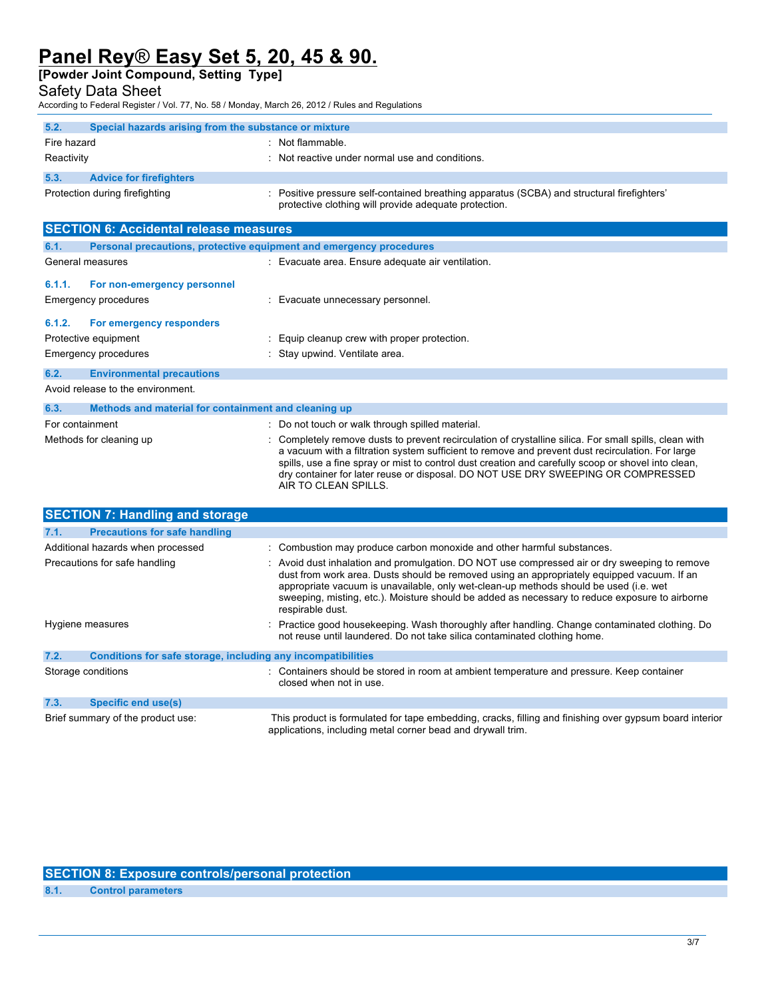**[Powder Joint Compound, Setting Type]**

# Safety Data Sheet

According to Federal Register / Vol. 77, No. 58 / Monday, March 26, 2012 / Rules and Regulations

| 5.2.        | Special hazards arising from the substance or mixture |                                                                                                                                                     |
|-------------|-------------------------------------------------------|-----------------------------------------------------------------------------------------------------------------------------------------------------|
| Fire hazard |                                                       | $:$ Not flammable.                                                                                                                                  |
| Reactivity  |                                                       | : Not reactive under normal use and conditions.                                                                                                     |
| 5.3.        | <b>Advice for firefighters</b>                        |                                                                                                                                                     |
|             | Protection during firefighting                        | : Positive pressure self-contained breathing apparatus (SCBA) and structural firefighters'<br>protective clothing will provide adequate protection. |

|                                          | <b>SECTION 6: Accidental release measures</b>                       |                                                                                                                                                                                                                                                                                                                                                                                                                               |  |
|------------------------------------------|---------------------------------------------------------------------|-------------------------------------------------------------------------------------------------------------------------------------------------------------------------------------------------------------------------------------------------------------------------------------------------------------------------------------------------------------------------------------------------------------------------------|--|
| 6.1.                                     | Personal precautions, protective equipment and emergency procedures |                                                                                                                                                                                                                                                                                                                                                                                                                               |  |
|                                          | General measures                                                    | : Evacuate area. Ensure adequate air ventilation.                                                                                                                                                                                                                                                                                                                                                                             |  |
| 6.1.1.                                   | For non-emergency personnel                                         |                                                                                                                                                                                                                                                                                                                                                                                                                               |  |
|                                          | Emergency procedures                                                | : Evacuate unnecessary personnel.                                                                                                                                                                                                                                                                                                                                                                                             |  |
| 6.1.2.                                   | For emergency responders                                            |                                                                                                                                                                                                                                                                                                                                                                                                                               |  |
|                                          | Protective equipment                                                | : Equip cleanup crew with proper protection.                                                                                                                                                                                                                                                                                                                                                                                  |  |
|                                          | Emergency procedures                                                | : Stay upwind. Ventilate area.                                                                                                                                                                                                                                                                                                                                                                                                |  |
| 6.2.<br><b>Environmental precautions</b> |                                                                     |                                                                                                                                                                                                                                                                                                                                                                                                                               |  |
|                                          | Avoid release to the environment.                                   |                                                                                                                                                                                                                                                                                                                                                                                                                               |  |
| 6.3.                                     | Methods and material for containment and cleaning up                |                                                                                                                                                                                                                                                                                                                                                                                                                               |  |
|                                          | For containment                                                     | : Do not touch or walk through spilled material.                                                                                                                                                                                                                                                                                                                                                                              |  |
|                                          | Methods for cleaning up                                             | : Completely remove dusts to prevent recirculation of crystalline silica. For small spills, clean with<br>a vacuum with a filtration system sufficient to remove and prevent dust recirculation. For large<br>spills, use a fine spray or mist to control dust creation and carefully scoop or shovel into clean,<br>dry container for later reuse or disposal. DO NOT USE DRY SWEEPING OR COMPRESSED<br>AIR TO CLEAN SPILLS. |  |

|                    | <b>SECTION 7: Handling and storage</b>                       |                                                                                                                                                                                                                                                                                                                                                                                                            |
|--------------------|--------------------------------------------------------------|------------------------------------------------------------------------------------------------------------------------------------------------------------------------------------------------------------------------------------------------------------------------------------------------------------------------------------------------------------------------------------------------------------|
| 7.1.               | <b>Precautions for safe handling</b>                         |                                                                                                                                                                                                                                                                                                                                                                                                            |
|                    | Additional hazards when processed                            | : Combustion may produce carbon monoxide and other harmful substances.                                                                                                                                                                                                                                                                                                                                     |
|                    | Precautions for safe handling                                | : Avoid dust inhalation and promulgation. DO NOT use compressed air or dry sweeping to remove<br>dust from work area. Dusts should be removed using an appropriately equipped vacuum. If an<br>appropriate vacuum is unavailable, only wet-clean-up methods should be used (i.e. wet<br>sweeping, misting, etc.). Moisture should be added as necessary to reduce exposure to airborne<br>respirable dust. |
|                    | Hygiene measures                                             | : Practice good housekeeping. Wash thoroughly after handling. Change contaminated clothing. Do<br>not reuse until laundered. Do not take silica contaminated clothing home.                                                                                                                                                                                                                                |
| 7.2.               | Conditions for safe storage, including any incompatibilities |                                                                                                                                                                                                                                                                                                                                                                                                            |
| Storage conditions |                                                              | : Containers should be stored in room at ambient temperature and pressure. Keep container<br>closed when not in use.                                                                                                                                                                                                                                                                                       |
| 7.3.               | <b>Specific end use(s)</b>                                   |                                                                                                                                                                                                                                                                                                                                                                                                            |
|                    | Brief summary of the product use:                            | This product is formulated for tape embedding, cracks, filling and finishing over gypsum board interior<br>applications, including metal corner bead and drywall trim.                                                                                                                                                                                                                                     |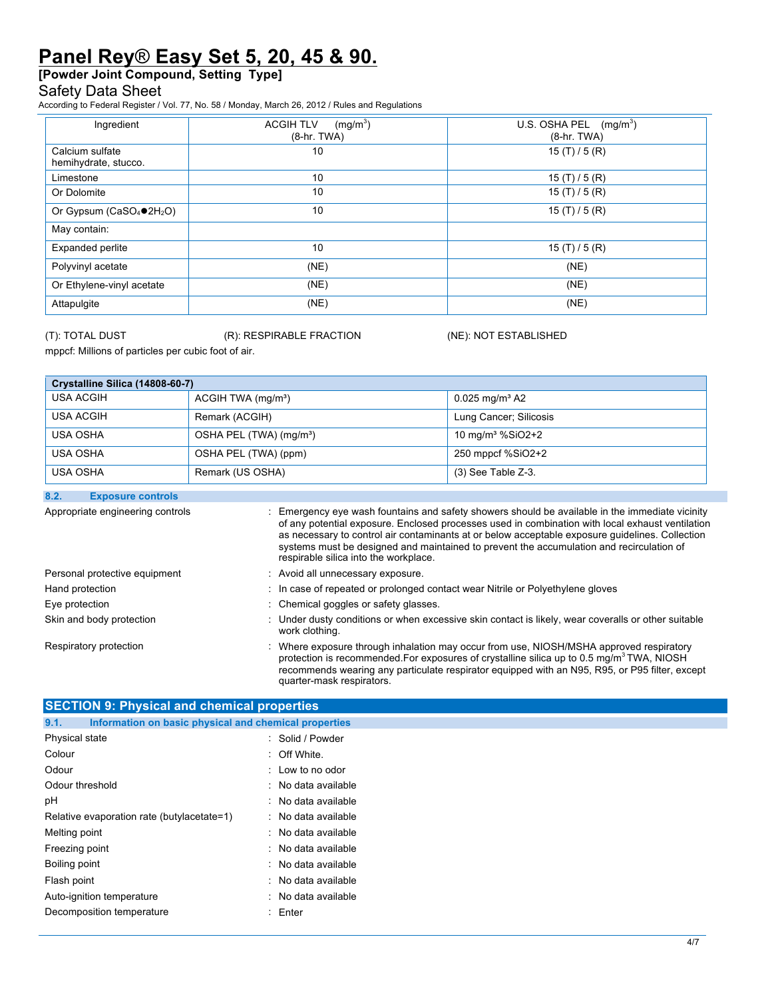**[Powder Joint Compound, Setting Type]**

# Safety Data Sheet

According to Federal Register / Vol. 77, No. 58 / Monday, March 26, 2012 / Rules and Regulations

| Ingredient                              | (mg/m <sup>3</sup> )<br><b>ACGIH TLV</b><br>$(8-hr. TWA)$ | U.S. OSHA PEL<br>(mg/m <sup>3</sup> )<br>$(8-hr. TWA)$ |
|-----------------------------------------|-----------------------------------------------------------|--------------------------------------------------------|
| Calcium sulfate<br>hemihydrate, stucco. | 10                                                        | 15(T)/5(R)                                             |
| Limestone                               | 10                                                        | 15 $(T)/5(R)$                                          |
| Or Dolomite                             | 10                                                        | 15(T)/5(R)                                             |
| Or Gypsum ( $CaSO_4$ $O$ )              | 10                                                        | 15(T)/5(R)                                             |
| May contain:                            |                                                           |                                                        |
| Expanded perlite                        | 10                                                        | 15(T)/5(R)                                             |
| Polyvinyl acetate                       | (NE)                                                      | (NE)                                                   |
| Or Ethylene-vinyl acetate               | (NE)                                                      | (NE)                                                   |
| Attapulgite                             | (NE)                                                      | (NE)                                                   |

(T): TOTAL DUST (R): RESPIRABLE FRACTION (NE): NOT ESTABLISHED

mppcf: Millions of particles per cubic foot of air.

| Crystalline Silica (14808-60-7) |                                     |                              |  |
|---------------------------------|-------------------------------------|------------------------------|--|
| USA ACGIH                       | ACGIH TWA (mg/m <sup>3</sup> )      | $0.025$ mg/m <sup>3</sup> A2 |  |
| <b>USA ACGIH</b>                | Remark (ACGIH)                      | Lung Cancer; Silicosis       |  |
| USA OSHA                        | OSHA PEL (TWA) (mg/m <sup>3</sup> ) | 10 mg/m <sup>3</sup> %SiO2+2 |  |
| USA OSHA                        | OSHA PEL (TWA) (ppm)                | 250 mppcf %SiO2+2            |  |
| USA OSHA                        | Remark (US OSHA)                    | $(3)$ See Table Z-3.         |  |

### **8.2. Exposure controls**

| Appropriate engineering controls | Emergency eye wash fountains and safety showers should be available in the immediate vicinity<br>of any potential exposure. Enclosed processes used in combination with local exhaust ventilation<br>as necessary to control air contaminants at or below acceptable exposure quidelines. Collection<br>systems must be designed and maintained to prevent the accumulation and recirculation of<br>respirable silica into the workplace. |
|----------------------------------|-------------------------------------------------------------------------------------------------------------------------------------------------------------------------------------------------------------------------------------------------------------------------------------------------------------------------------------------------------------------------------------------------------------------------------------------|
| Personal protective equipment    | : Avoid all unnecessary exposure.                                                                                                                                                                                                                                                                                                                                                                                                         |
| Hand protection                  | : In case of repeated or prolonged contact wear Nitrile or Polyethylene gloves                                                                                                                                                                                                                                                                                                                                                            |
| Eye protection                   | : Chemical goggles or safety glasses.                                                                                                                                                                                                                                                                                                                                                                                                     |
| Skin and body protection         | : Under dusty conditions or when excessive skin contact is likely, wear coveralls or other suitable<br>work clothing.                                                                                                                                                                                                                                                                                                                     |
| Respiratory protection           | : Where exposure through inhalation may occur from use, NIOSH/MSHA approved respiratory<br>protection is recommended. For exposures of crystalline silica up to 0.5 mg/m <sup>3</sup> TWA, NIOSH<br>recommends wearing any particulate respirator equipped with an N95, R95, or P95 filter, except<br>quarter-mask respirators.                                                                                                           |

| <b>SECTION 9: Physical and chemical properties</b>            |                         |  |  |
|---------------------------------------------------------------|-------------------------|--|--|
| Information on basic physical and chemical properties<br>9.1. |                         |  |  |
| Physical state                                                | : Solid / Powder        |  |  |
| Colour                                                        | $\therefore$ Off White. |  |  |
| Odour                                                         | $:$ Low to no odor      |  |  |
| Odour threshold                                               | : No data available     |  |  |
| рH                                                            | : No data available     |  |  |
| Relative evaporation rate (butylacetate=1)                    | : No data available     |  |  |
| Melting point                                                 | : No data available     |  |  |
| Freezing point                                                | : No data available     |  |  |
| Boiling point                                                 | : No data available     |  |  |
| Flash point                                                   | : No data available     |  |  |
| Auto-ignition temperature                                     | : No data available     |  |  |
| Decomposition temperature                                     | $:$ Enter               |  |  |
|                                                               |                         |  |  |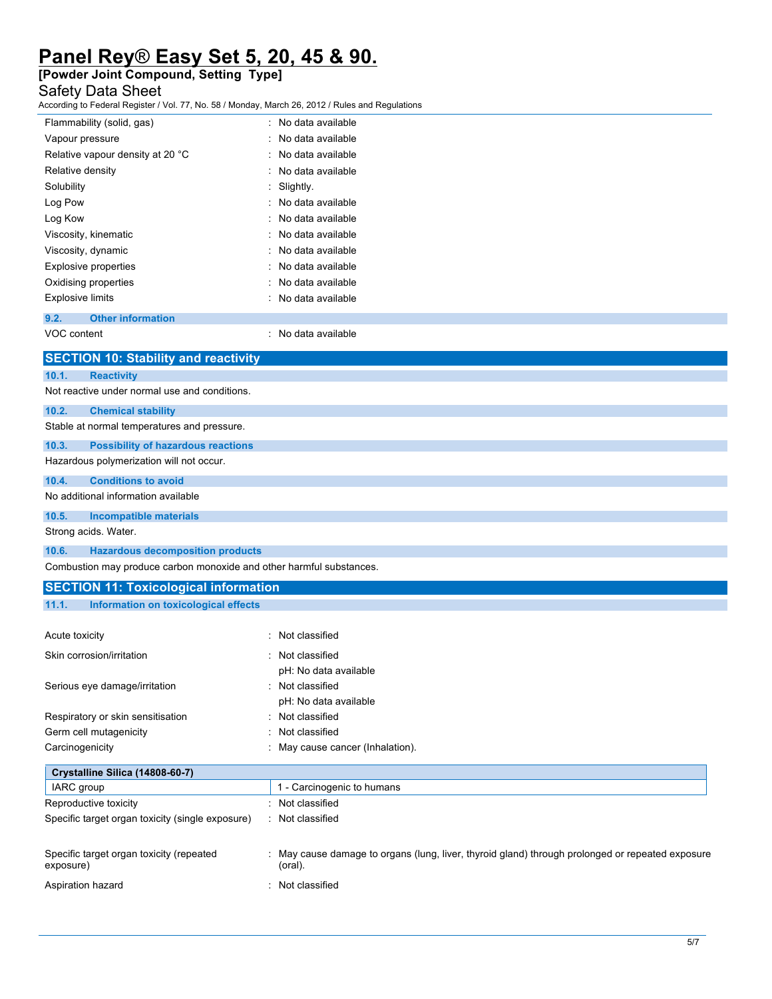# **[Powder Joint Compound, Setting Type]**

# Safety Data Sheet

According to Federal Register / Vol. 77, No. 58 / Monday, March 26, 2012 / Rules and Regulations

| Flammability (solid, gas)        | : No data available |
|----------------------------------|---------------------|
| Vapour pressure                  | : No data available |
| Relative vapour density at 20 °C | : No data available |
| Relative density                 | : No data available |
| Solubility                       | : Slightly.         |
| Log Pow                          | : No data available |
| Log Kow                          | : No data available |
| Viscosity, kinematic             | : No data available |
| Viscosity, dynamic               | : No data available |
| <b>Explosive properties</b>      | : No data available |
| Oxidising properties             | No data available   |
| <b>Explosive limits</b>          | No data available   |
|                                  |                     |

### **9.2. Other information**

VOC content  $\blacksquare$ 

|                                     | <b>SECTION 10: Stability and reactivity</b>                          |  |  |  |
|-------------------------------------|----------------------------------------------------------------------|--|--|--|
| 10.1.                               | <b>Reactivity</b>                                                    |  |  |  |
|                                     | Not reactive under normal use and conditions.                        |  |  |  |
| 10.2.                               | <b>Chemical stability</b>                                            |  |  |  |
|                                     | Stable at normal temperatures and pressure.                          |  |  |  |
| 10.3.                               | <b>Possibility of hazardous reactions</b>                            |  |  |  |
|                                     | Hazardous polymerization will not occur.                             |  |  |  |
| 10.4.                               | <b>Conditions to avoid</b>                                           |  |  |  |
| No additional information available |                                                                      |  |  |  |
| 10.5.                               | <b>Incompatible materials</b>                                        |  |  |  |
|                                     | Strong acids. Water.                                                 |  |  |  |
| 10.6.                               | <b>Hazardous decomposition products</b>                              |  |  |  |
|                                     | Combustion may produce carbon monoxide and other harmful substances. |  |  |  |

# **SECTION 11: Toxicological information 11.1. Information on toxicological effects**

| Acute toxicity                                        | : Not classified                                                                                          |
|-------------------------------------------------------|-----------------------------------------------------------------------------------------------------------|
| Skin corrosion/irritation                             | : Not classified                                                                                          |
|                                                       | pH: No data available                                                                                     |
| Serious eye damage/irritation                         | : Not classified                                                                                          |
|                                                       | pH: No data available                                                                                     |
| Respiratory or skin sensitisation                     | : Not classified                                                                                          |
| Germ cell mutagenicity                                | : Not classified                                                                                          |
| Carcinogenicity                                       | : May cause cancer (Inhalation).                                                                          |
| Crystalline Silica (14808-60-7)<br>IARC group         | 1 - Carcinogenic to humans                                                                                |
| Reproductive toxicity                                 | : Not classified                                                                                          |
| Specific target organ toxicity (single exposure)      | : Not classified                                                                                          |
| Specific target organ toxicity (repeated<br>exposure) | May cause damage to organs (lung, liver, thyroid gland) through prolonged or repeated exposure<br>(oral). |
| Aspiration hazard                                     | Not classified                                                                                            |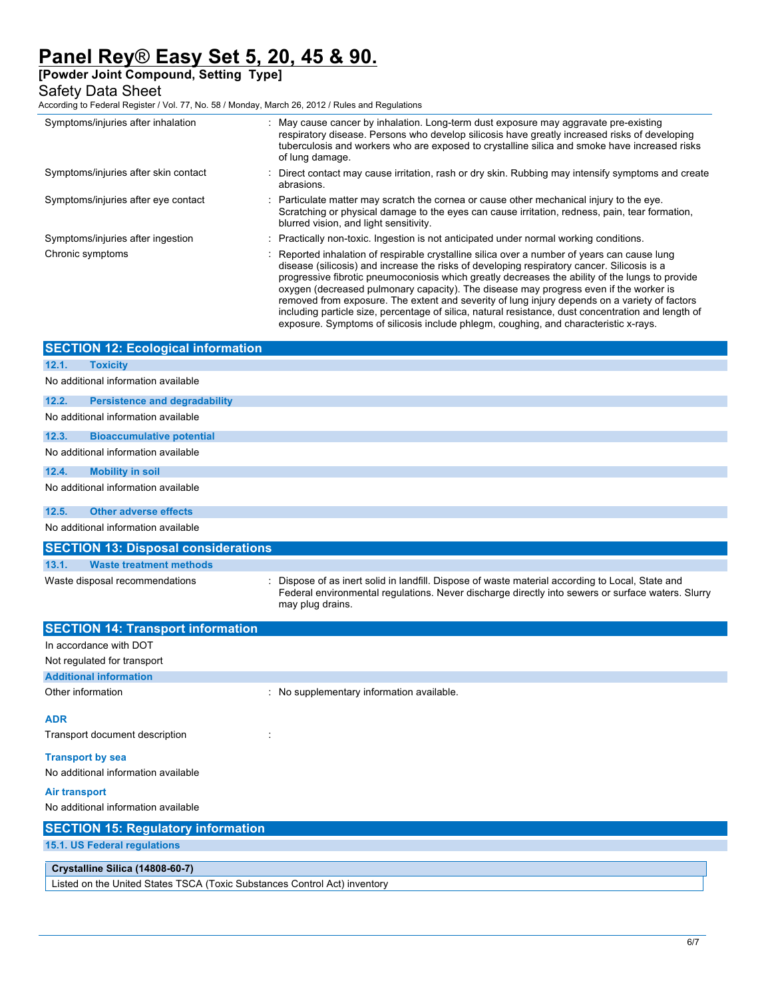**[Powder Joint Compound, Setting Type]**

# Safety Data Sheet

According to Federal Register / Vol. 77, No. 58 / Monday, March 26, 2012 / Rules and Regulations

| Symptoms/injuries after inhalation        | : May cause cancer by inhalation. Long-term dust exposure may aggravate pre-existing<br>respiratory disease. Persons who develop silicosis have greatly increased risks of developing<br>tuberculosis and workers who are exposed to crystalline silica and smoke have increased risks<br>of lung damage.                                                                                                                                                                                                                                                                                                                                                                               |
|-------------------------------------------|-----------------------------------------------------------------------------------------------------------------------------------------------------------------------------------------------------------------------------------------------------------------------------------------------------------------------------------------------------------------------------------------------------------------------------------------------------------------------------------------------------------------------------------------------------------------------------------------------------------------------------------------------------------------------------------------|
| Symptoms/injuries after skin contact      | : Direct contact may cause irritation, rash or dry skin. Rubbing may intensify symptoms and create<br>abrasions.                                                                                                                                                                                                                                                                                                                                                                                                                                                                                                                                                                        |
| Symptoms/injuries after eye contact       | : Particulate matter may scratch the cornea or cause other mechanical injury to the eye.<br>Scratching or physical damage to the eyes can cause irritation, redness, pain, tear formation,<br>blurred vision, and light sensitivity.                                                                                                                                                                                                                                                                                                                                                                                                                                                    |
| Symptoms/injuries after ingestion         | : Practically non-toxic. Ingestion is not anticipated under normal working conditions.                                                                                                                                                                                                                                                                                                                                                                                                                                                                                                                                                                                                  |
| Chronic symptoms                          | : Reported inhalation of respirable crystalline silica over a number of years can cause lung<br>disease (silicosis) and increase the risks of developing respiratory cancer. Silicosis is a<br>progressive fibrotic pneumoconiosis which greatly decreases the ability of the lungs to provide<br>oxygen (decreased pulmonary capacity). The disease may progress even if the worker is<br>removed from exposure. The extent and severity of lung injury depends on a variety of factors<br>including particle size, percentage of silica, natural resistance, dust concentration and length of<br>exposure. Symptoms of silicosis include phlegm, coughing, and characteristic x-rays. |
| <b>SECTION 12: Ecological information</b> |                                                                                                                                                                                                                                                                                                                                                                                                                                                                                                                                                                                                                                                                                         |

| 12.1.                | <b>Toxicity</b>                                                           |  |                                                                                                                                                                                                                           |  |
|----------------------|---------------------------------------------------------------------------|--|---------------------------------------------------------------------------------------------------------------------------------------------------------------------------------------------------------------------------|--|
|                      | No additional information available                                       |  |                                                                                                                                                                                                                           |  |
| 12.2.                | <b>Persistence and degradability</b>                                      |  |                                                                                                                                                                                                                           |  |
|                      | No additional information available                                       |  |                                                                                                                                                                                                                           |  |
| 12.3.                | <b>Bioaccumulative potential</b>                                          |  |                                                                                                                                                                                                                           |  |
|                      | No additional information available                                       |  |                                                                                                                                                                                                                           |  |
| 12.4.                | <b>Mobility in soil</b>                                                   |  |                                                                                                                                                                                                                           |  |
|                      | No additional information available                                       |  |                                                                                                                                                                                                                           |  |
| 12.5.                | <b>Other adverse effects</b>                                              |  |                                                                                                                                                                                                                           |  |
|                      | No additional information available                                       |  |                                                                                                                                                                                                                           |  |
|                      | <b>SECTION 13: Disposal considerations</b>                                |  |                                                                                                                                                                                                                           |  |
| 13.1.                | <b>Waste treatment methods</b>                                            |  |                                                                                                                                                                                                                           |  |
|                      | Waste disposal recommendations                                            |  | : Dispose of as inert solid in landfill. Dispose of waste material according to Local, State and<br>Federal environmental regulations. Never discharge directly into sewers or surface waters. Slurry<br>may plug drains. |  |
|                      | <b>SECTION 14: Transport information</b>                                  |  |                                                                                                                                                                                                                           |  |
|                      | In accordance with DOT                                                    |  |                                                                                                                                                                                                                           |  |
|                      | Not regulated for transport                                               |  |                                                                                                                                                                                                                           |  |
|                      | <b>Additional information</b>                                             |  |                                                                                                                                                                                                                           |  |
|                      | Other information                                                         |  | : No supplementary information available.                                                                                                                                                                                 |  |
| <b>ADR</b>           |                                                                           |  |                                                                                                                                                                                                                           |  |
|                      | Transport document description                                            |  |                                                                                                                                                                                                                           |  |
|                      | <b>Transport by sea</b><br>No additional information available            |  |                                                                                                                                                                                                                           |  |
| <b>Air transport</b> |                                                                           |  |                                                                                                                                                                                                                           |  |
|                      | No additional information available                                       |  |                                                                                                                                                                                                                           |  |
|                      | <b>SECTION 15: Regulatory information</b>                                 |  |                                                                                                                                                                                                                           |  |
|                      | 15.1. US Federal regulations                                              |  |                                                                                                                                                                                                                           |  |
|                      | Crystalline Silica (14808-60-7)                                           |  |                                                                                                                                                                                                                           |  |
|                      | Listed on the United States TSCA (Toxic Substances Control Act) inventory |  |                                                                                                                                                                                                                           |  |